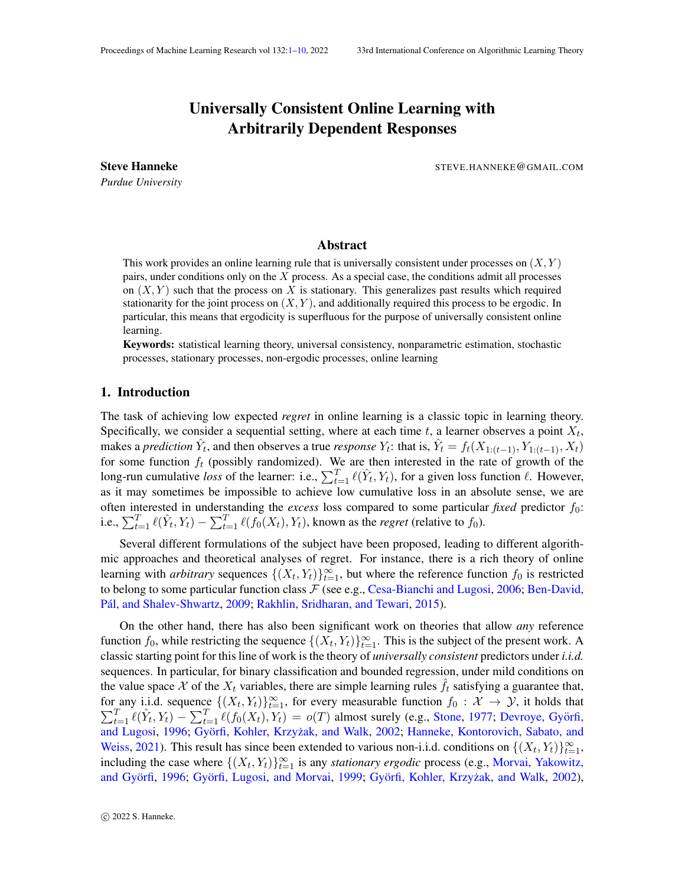# Universally Consistent Online Learning with Arbitrarily Dependent Responses

*Purdue University*

<span id="page-0-0"></span>Steve Hanneke **Steve Hanneke** STEVE.HANNEKE@GMAIL.COM

## Abstract

This work provides an online learning rule that is universally consistent under processes on  $(X, Y)$ pairs, under conditions only on the  $X$  process. As a special case, the conditions admit all processes on  $(X, Y)$  such that the process on X is stationary. This generalizes past results which required stationarity for the joint process on  $(X, Y)$ , and additionally required this process to be ergodic. In particular, this means that ergodicity is superfluous for the purpose of universally consistent online learning.

Keywords: statistical learning theory, universal consistency, nonparametric estimation, stochastic processes, stationary processes, non-ergodic processes, online learning

#### 1. Introduction

The task of achieving low expected *regret* in online learning is a classic topic in learning theory. Specifically, we consider a sequential setting, where at each time  $t$ , a learner observes a point  $X_t$ , makes a *prediction*  $\hat{Y}_t$ , and then observes a true *response*  $Y_t$ : that is,  $\hat{Y}_t = f_t(X_{1:(t-1)}, Y_{1:(t-1)}, X_t)$ for some function  $f_t$  (possibly randomized). We are then interested in the rate of growth of the long-run cumulative *loss* of the learner: i.e.,  $\sum_{t=1}^{T} \ell(\hat{Y}_t, Y_t)$ , for a given loss function  $\ell$ . However, as it may sometimes be impossible to achieve low cumulative loss in an absolute sense, we are often interested in understanding the *excess* loss compared to some particular *fixed* predictor  $f_0$ : i.e.,  $\sum_{t=1}^T \ell(\hat{Y}_t, Y_t) - \sum_{t=1}^T \ell(f_0(X_t), Y_t)$ , known as the *regret* (relative to  $f_0$ ).

Several different formulations of the subject have been proposed, leading to different algorithmic approaches and theoretical analyses of regret. For instance, there is a rich theory of online learning with *arbitrary* sequences  $\{(X_t, Y_t)\}_{t=1}^{\infty}$ , but where the reference function  $f_0$  is restricted to belong to some particular function class  $\mathcal F$  (see e.g., [Cesa-Bianchi and Lugosi,](#page-8-0) [2006;](#page-8-0) [Ben-David,](#page-8-1) Pál, and Shalev-Shwartz, [2009;](#page-8-1) [Rakhlin, Sridharan, and Tewari,](#page-9-1) [2015\)](#page-9-1).

On the other hand, there has also been significant work on theories that allow *any* reference function  $f_0$ , while restricting the sequence  $\{(X_t, Y_t)\}_{t=1}^{\infty}$ . This is the subject of the present work. A classic starting point for this line of work is the theory of *universally consistent* predictors under *i.i.d.* sequences. In particular, for binary classification and bounded regression, under mild conditions on the value space X of the  $X_t$  variables, there are simple learning rules  $f_t$  satisfying a guarantee that, for any i.i.d. sequence  $\{(X_t, Y_t)\}_{t=1}^{\infty}$ <br> $\sum_{t=1}^{T} \ell(\hat{Y}_t, Y_t) - \sum_{t=1}^{T} \ell(f_0(X_t), Y_t)$ : any i.i.d. sequence  $\{(X_t, Y_t)\}_{t=1}^{\infty}$ , for every measurable function  $f_0 : \mathcal{X} \to \mathcal{Y}$ , it holds that  $T_{t=1} \ell(\hat{Y}_t, Y_t) - \sum_{t=1}^T \ell(f_0(X_t), Y_t) = o(T)$  almost surely (e.g., [Stone,](#page-9-2) [1977;](#page-9-2) Devroye, Györfi, [and Lugosi,](#page-8-2) [1996;](#page-8-2) Györfi, Kohler, Krzyżak, and Walk, [2002;](#page-8-3) [Hanneke, Kontorovich, Sabato, and](#page-9-3) [Weiss,](#page-9-3) [2021\)](#page-9-3). This result has since been extended to various non-i.i.d. conditions on  $\{(X_t, Y_t)\}_{t=1}^{\infty}$ , including the case where  $\{(X_t, Y_t)\}_{t=1}^{\infty}$  is any *stationary ergodic* process (e.g., [Morvai, Yakowitz,](#page-9-4) and Györfi, [1996;](#page-9-4) Györfi, Lugosi, and Morvai, [1999;](#page-8-4) Györfi, Kohler, Krzyżak, and Walk, [2002\)](#page-8-3),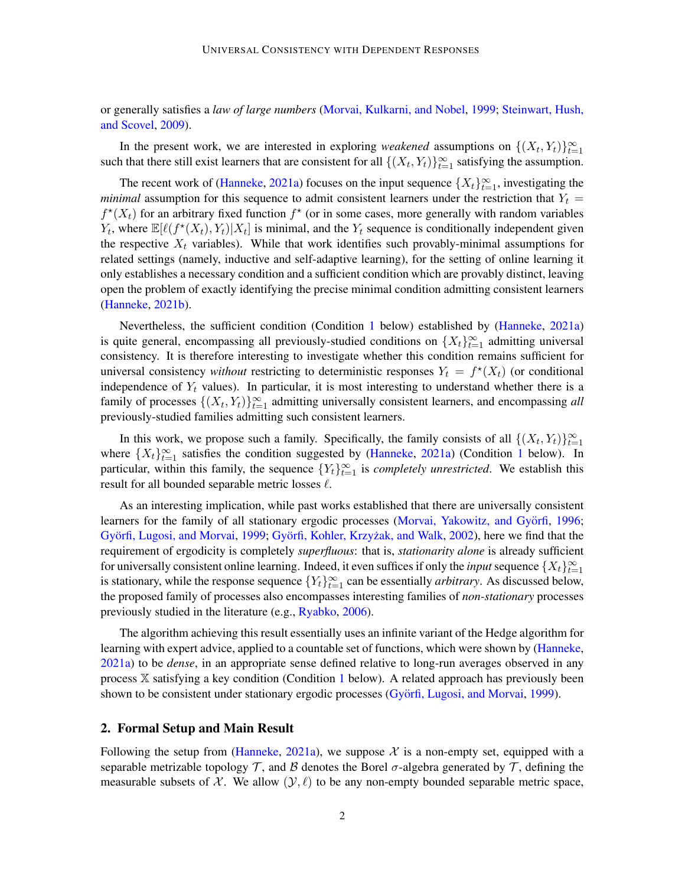or generally satisfies a *law of large numbers* [\(Morvai, Kulkarni, and Nobel,](#page-9-5) [1999;](#page-9-5) [Steinwart, Hush,](#page-9-6) [and Scovel,](#page-9-6) [2009\)](#page-9-6).

In the present work, we are interested in exploring *weakened* assumptions on  $\{(X_t, Y_t)\}_{t=1}^{\infty}$ such that there still exist learners that are consistent for all  $\{(X_t, Y_t)\}_{t=1}^{\infty}$  satisfying the assumption.

The recent work of [\(Hanneke,](#page-8-5) [2021a\)](#page-8-5) focuses on the input sequence  $\{X_t\}_{t=1}^{\infty}$ , investigating the *minimal* assumption for this sequence to admit consistent learners under the restriction that  $Y_t =$  $f^*(X_t)$  for an arbitrary fixed function  $f^*$  (or in some cases, more generally with random variables  $Y_t$ , where  $\mathbb{E}[\ell(f^*(X_t), Y_t) | X_t]$  is minimal, and the  $Y_t$  sequence is conditionally independent given the respective  $X_t$  variables). While that work identifies such provably-minimal assumptions for related settings (namely, inductive and self-adaptive learning), for the setting of online learning it only establishes a necessary condition and a sufficient condition which are provably distinct, leaving open the problem of exactly identifying the precise minimal condition admitting consistent learners [\(Hanneke,](#page-8-6) [2021b\)](#page-8-6).

Nevertheless, the sufficient condition (Condition [1](#page-2-0) below) established by [\(Hanneke,](#page-8-5) [2021a\)](#page-8-5) is quite general, encompassing all previously-studied conditions on  $\{X_t\}_{t=1}^{\infty}$  admitting universal consistency. It is therefore interesting to investigate whether this condition remains sufficient for universal consistency *without* restricting to deterministic responses  $Y_t = f^*(X_t)$  (or conditional independence of  $Y_t$  values). In particular, it is most interesting to understand whether there is a family of processes  $\{(X_t, Y_t)\}_{t=1}^{\infty}$  admitting universally consistent learners, and encompassing *all* previously-studied families admitting such consistent learners.

In this work, we propose such a family. Specifically, the family consists of all  $\{(X_t, Y_t)\}_{t=1}^{\infty}$ where  $\{X_t\}_{t=1}^{\infty}$  $\{X_t\}_{t=1}^{\infty}$  $\{X_t\}_{t=1}^{\infty}$  satisfies the condition suggested by [\(Hanneke,](#page-8-5) [2021a\)](#page-8-5) (Condition 1 below). In particular, within this family, the sequence  ${Y_t}_{t=1}^{\infty}$  is *completely unrestricted*. We establish this result for all bounded separable metric losses  $\ell$ .

As an interesting implication, while past works established that there are universally consistent learners for the family of all stationary ergodic processes (Morvai, Yakowitz, and Györfi, [1996;](#page-9-4) Györfi, Lugosi, and Morvai, [1999;](#page-8-4) Györfi, Kohler, Krzyżak, and Walk, [2002\)](#page-8-3), here we find that the requirement of ergodicity is completely *superfluous*: that is, *stationarity alone* is already sufficient for universally consistent online learning. Indeed, it even suffices if only the *input* sequence  $\{X_t\}_{t=1}^{\infty}$ is stationary, while the response sequence  ${Y_t}_{t=1}^{\infty}$  can be essentially *arbitrary*. As discussed below, the proposed family of processes also encompasses interesting families of *non-stationary* processes previously studied in the literature (e.g., [Ryabko,](#page-9-7) [2006\)](#page-9-7).

The algorithm achieving this result essentially uses an infinite variant of the Hedge algorithm for learning with expert advice, applied to a countable set of functions, which were shown by [\(Hanneke,](#page-8-5) [2021a\)](#page-8-5) to be *dense*, in an appropriate sense defined relative to long-run averages observed in any process X satisfying a key condition (Condition [1](#page-2-0) below). A related approach has previously been shown to be consistent under stationary ergodic processes (Györfi, Lugosi, and Morvai, [1999\)](#page-8-4).

#### 2. Formal Setup and Main Result

Following the setup from [\(Hanneke,](#page-8-5) [2021a\)](#page-8-5), we suppose  $\mathcal X$  is a non-empty set, equipped with a separable metrizable topology T, and B denotes the Borel  $\sigma$ -algebra generated by T, defining the measurable subsets of X. We allow  $(y, \ell)$  to be any non-empty bounded separable metric space,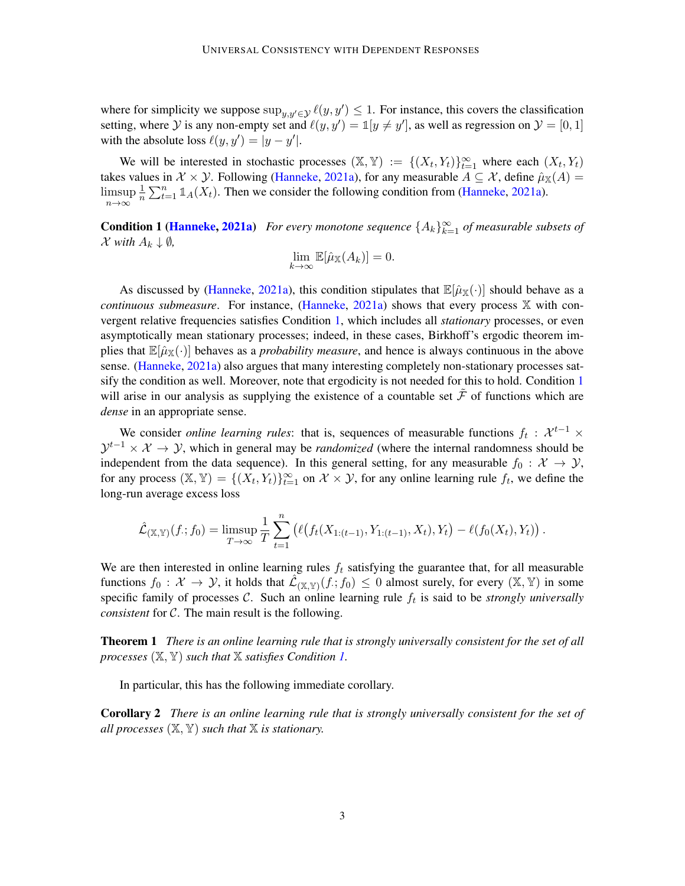where for simplicity we suppose  $\sup_{y,y'\in\mathcal{Y}} \ell(y,y') \leq 1$ . For instance, this covers the classification setting, where  $Y$  is any non-empty set and  $\ell(y, y') = \mathbb{1}[y \neq y']$ , as well as regression on  $\mathcal{Y} = [0, 1]$ with the absolute loss  $\ell(y, y') = |y - y'|$ .

We will be interested in stochastic processes  $(\mathbb{X}, \mathbb{Y}) := \{(X_t, Y_t)\}_{t=1}^{\infty}$  where each  $(X_t, Y_t)$ takes values in  $\mathcal{X} \times \mathcal{Y}$ . Following [\(Hanneke,](#page-8-5) [2021a\)](#page-8-5), for any measurable  $A \subseteq \mathcal{X}$ , define  $\hat{\mu}_X(A)$  = limsup n→∞ 1  $\frac{1}{n} \sum_{t=1}^{n} \mathbb{1}_A(X_t)$ . Then we consider the following condition from [\(Hanneke,](#page-8-5) [2021a\)](#page-8-5).

<span id="page-2-0"></span>**Condition 1 [\(Hanneke,](#page-8-5) [2021a\)](#page-8-5)** For every monotone sequence  $\{A_k\}_{k=1}^{\infty}$  of measurable subsets of  $\mathcal X$  *with*  $A_k \downarrow \emptyset$ *,* 

$$
\lim_{k \to \infty} \mathbb{E}[\hat{\mu}_{\mathbb{X}}(A_k)] = 0.
$$

As discussed by [\(Hanneke,](#page-8-5) [2021a\)](#page-8-5), this condition stipulates that  $\mathbb{E}[\hat{\mu}_X(\cdot)]$  should behave as a *continuous submeasure*. For instance, [\(Hanneke,](#page-8-5) [2021a\)](#page-8-5) shows that every process X with convergent relative frequencies satisfies Condition [1,](#page-2-0) which includes all *stationary* processes, or even asymptotically mean stationary processes; indeed, in these cases, Birkhoff's ergodic theorem implies that  $\mathbb{E}[\hat{\mu}_{\mathbb{X}}(\cdot)]$  behaves as a *probability measure*, and hence is always continuous in the above sense. [\(Hanneke,](#page-8-5) [2021a\)](#page-8-5) also argues that many interesting completely non-stationary processes sat-sify the condition as well. Moreover, note that ergodicity is not needed for this to hold. Condition [1](#page-2-0) will arise in our analysis as supplying the existence of a countable set  $\mathcal F$  of functions which are *dense* in an appropriate sense.

We consider *online learning rules*: that is, sequences of measurable functions  $f_t$  :  $\mathcal{X}^{t-1}$  ×  $\mathcal{Y}^{t-1} \times \mathcal{X} \to \mathcal{Y}$ , which in general may be *randomized* (where the internal randomness should be independent from the data sequence). In this general setting, for any measurable  $f_0 : \mathcal{X} \to \mathcal{Y}$ , for any process  $(\mathbb{X}, \mathbb{Y}) = \{(X_t, Y_t)\}_{t=1}^{\infty}$  on  $\mathcal{X} \times \mathcal{Y}$ , for any online learning rule  $f_t$ , we define the long-run average excess loss

$$
\hat{\mathcal{L}}_{(\mathbb{X},\mathbb{Y})}(f; f_0) = \limsup_{T \to \infty} \frac{1}{T} \sum_{t=1}^n (\ell(f_t(X_{1:(t-1)}, Y_{1:(t-1)}, X_t), Y_t) - \ell(f_0(X_t), Y_t)).
$$

We are then interested in online learning rules  $f_t$  satisfying the guarantee that, for all measurable functions  $f_0: \mathcal{X} \to \mathcal{Y}$ , it holds that  $\mathcal{\hat{L}}_{(\mathbb{X}, \mathbb{Y})}(f, f_0) \leq 0$  almost surely, for every  $(\mathbb{X}, \mathbb{Y})$  in some specific family of processes  $C$ . Such an online learning rule  $f_t$  is said to be *strongly universally consistent* for C. The main result is the following.

<span id="page-2-1"></span>Theorem 1 *There is an online learning rule that is strongly universally consistent for the set of all processes* (X, Y) *such that* X *satisfies Condition [1.](#page-2-0)*

In particular, this has the following immediate corollary.

Corollary 2 *There is an online learning rule that is strongly universally consistent for the set of all processes* (X, Y) *such that* X *is stationary.*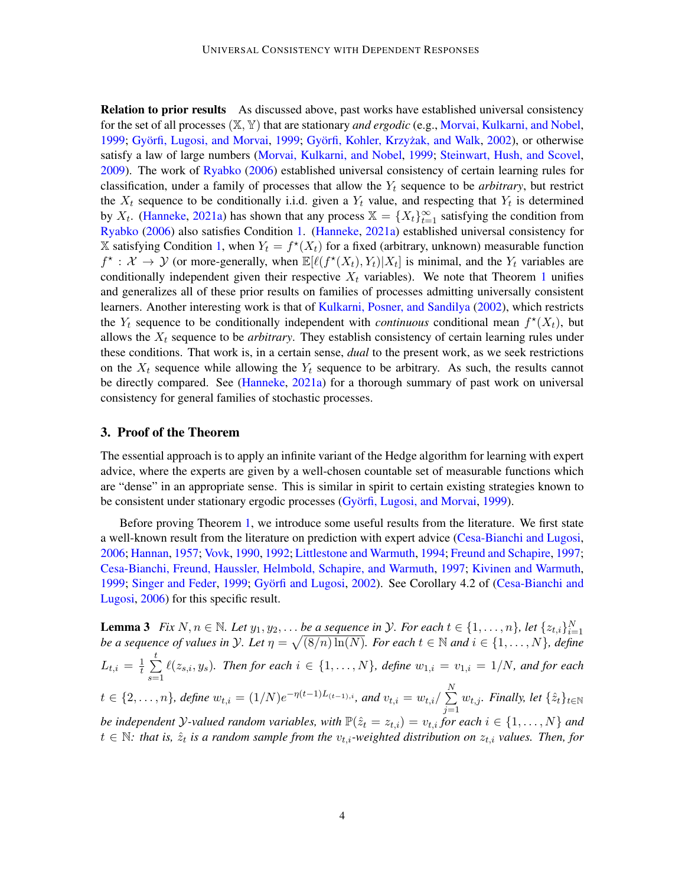Relation to prior results As discussed above, past works have established universal consistency for the set of all processes (X, Y) that are stationary *and ergodic* (e.g., [Morvai, Kulkarni, and Nobel,](#page-9-5) [1999;](#page-8-4) Györfi, Lugosi, and Morvai, 1999; Györfi, Kohler, Krzyżak, and Walk, [2002\)](#page-8-3), or otherwise satisfy a law of large numbers [\(Morvai, Kulkarni, and Nobel,](#page-9-5) [1999;](#page-9-5) [Steinwart, Hush, and Scovel,](#page-9-6) [2009\)](#page-9-6). The work of [Ryabko](#page-9-7) [\(2006\)](#page-9-7) established universal consistency of certain learning rules for classification, under a family of processes that allow the  $Y_t$  sequence to be *arbitrary*, but restrict the  $X_t$  sequence to be conditionally i.i.d. given a  $Y_t$  value, and respecting that  $Y_t$  is determined by  $X_t$ . [\(Hanneke,](#page-8-5) [2021a\)](#page-8-5) has shown that any process  $X = \{X_t\}_{t=1}^{\infty}$  satisfying the condition from [Ryabko](#page-9-7) [\(2006\)](#page-9-7) also satisfies Condition [1.](#page-2-0) [\(Hanneke,](#page-8-5) [2021a\)](#page-8-5) established universal consistency for  $\mathbb X$  satisfying Condition [1,](#page-2-0) when  $Y_t = f^*(X_t)$  for a fixed (arbitrary, unknown) measurable function  $f^* : \mathcal{X} \to \mathcal{Y}$  (or more-generally, when  $\mathbb{E}[\ell(f^*(X_t), Y_t)|X_t]$  is minimal, and the  $Y_t$  variables are conditionally independent given their respective  $X_t$  variables). We note that Theorem [1](#page-2-1) unifies and generalizes all of these prior results on families of processes admitting universally consistent learners. Another interesting work is that of [Kulkarni, Posner, and Sandilya](#page-9-8) [\(2002\)](#page-9-8), which restricts the  $Y_t$  sequence to be conditionally independent with *continuous* conditional mean  $f^*(X_t)$ , but allows the  $X_t$  sequence to be *arbitrary*. They establish consistency of certain learning rules under these conditions. That work is, in a certain sense, *dual* to the present work, as we seek restrictions on the  $X_t$  sequence while allowing the  $Y_t$  sequence to be arbitrary. As such, the results cannot be directly compared. See [\(Hanneke,](#page-8-5) [2021a\)](#page-8-5) for a thorough summary of past work on universal consistency for general families of stochastic processes.

### 3. Proof of the Theorem

The essential approach is to apply an infinite variant of the Hedge algorithm for learning with expert advice, where the experts are given by a well-chosen countable set of measurable functions which are "dense" in an appropriate sense. This is similar in spirit to certain existing strategies known to be consistent under stationary ergodic processes (Györfi, Lugosi, and Morvai, [1999\)](#page-8-4).

Before proving Theorem [1,](#page-2-1) we introduce some useful results from the literature. We first state a well-known result from the literature on prediction with expert advice [\(Cesa-Bianchi and Lugosi,](#page-8-0) [2006;](#page-8-0) [Hannan,](#page-8-7) [1957;](#page-8-7) [Vovk,](#page-9-9) [1990,](#page-9-9) [1992;](#page-9-10) [Littlestone and Warmuth,](#page-9-11) [1994;](#page-9-11) [Freund and Schapire,](#page-8-8) [1997;](#page-8-8) [Cesa-Bianchi, Freund, Haussler, Helmbold, Schapire, and Warmuth,](#page-8-9) [1997;](#page-8-9) [Kivinen and Warmuth,](#page-9-12) [1999;](#page-9-13) [Singer and Feder,](#page-9-13) 1999; Györfi and Lugosi, [2002\)](#page-8-10). See Corollary 4.2 of [\(Cesa-Bianchi and](#page-8-0) [Lugosi,](#page-8-0) [2006\)](#page-8-0) for this specific result.

<span id="page-3-0"></span>**Lemma 3** *Fix*  $N, n \in \mathbb{N}$ *. Let*  $y_1, y_2, \ldots$  *be a sequence in*  $\mathcal{Y}$ *. For each*  $t \in \{1, \ldots, n\}$ *, let*  $\{z_{t,i}\}_{i=1}^N$ *be a sequence of values in*  $\mathcal{Y}$ *. Let*  $\eta = \sqrt{(8/n) \ln(N)}$ *. For each*  $t \in \mathbb{N}$  and  $i \in \{1, \ldots, N\}$ *, define*  $L_{t,i} = \frac{1}{t}$  $\frac{1}{t}$  $\sum$  $s=1$  $\ell(z_{s,i}, y_s)$ . Then for each  $i \in \{1, \ldots, N\}$ , define  $w_{1,i} = v_{1,i} = 1/N$ , and for each  $t \in \{2, \ldots, n\}$ , define  $w_{t,i} = (1/N)e^{-\eta(t-1)L_{(t-1),i}}$ , and  $v_{t,i} = w_{t,i}/\sum_{i=1}^{N}$  $j=1$  $w_{t,j}$ *. Finally, let*  $\{\hat{z}_t\}_{t\in\mathbb{N}}$ *be independent Y*-valued random variables, with  $\mathbb{P}(\hat{z}_t = z_{t,i}) = v_{t,i}$  *for each*  $i \in \{1, ..., N\}$  *and*  $t \in \mathbb{N}$ : that is,  $\hat{z}_t$  is a random sample from the  $v_{t,i}$ -weighted distribution on  $z_{t,i}$  values. Then, for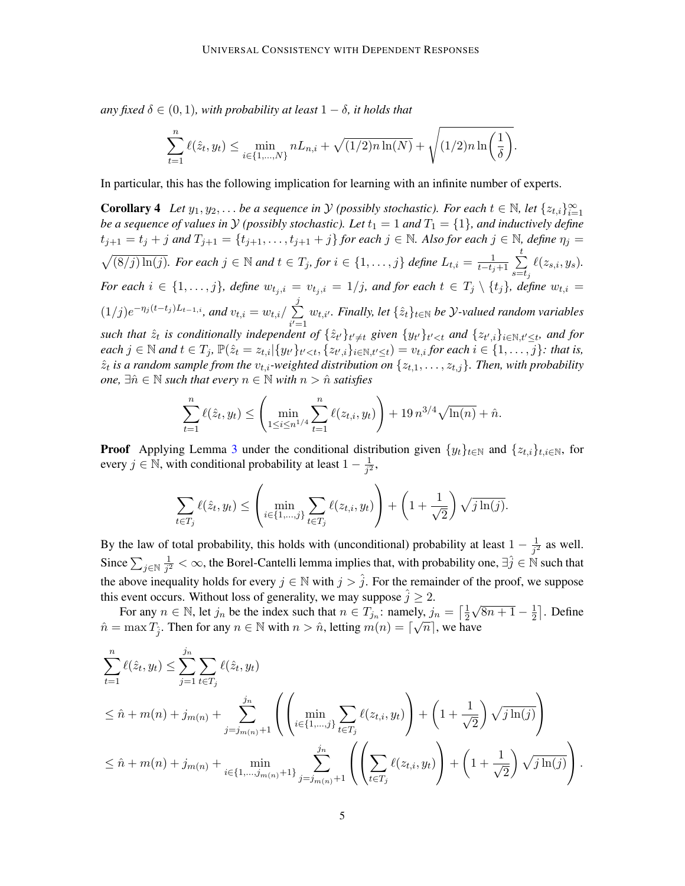*any fixed*  $\delta \in (0, 1)$ *, with probability at least*  $1 - \delta$ *, it holds that* 

$$
\sum_{t=1}^{n} \ell(\hat{z}_t, y_t) \le \min_{i \in \{1, ..., N\}} n L_{n,i} + \sqrt{(1/2)n \ln(N)} + \sqrt{(1/2)n \ln\left(\frac{1}{\delta}\right)}.
$$

<span id="page-4-0"></span>In particular, this has the following implication for learning with an infinite number of experts.

**Corollary 4** *Let*  $y_1, y_2, ...$  *be a sequence in*  $\mathcal Y$  *(possibly stochastic). For each*  $t \in \mathbb N$ *, let*  $\{z_{t,i}\}_{i=1}^\infty$ *be a sequence of values in*  $\cal Y$  *(possibly stochastic). Let*  $t_1 = 1$  *and*  $T_1 = \{1\}$ *, and inductively define*  $t_{j+1} = t_j + j$  and  $T_{j+1} = \{t_{j+1}, \ldots, t_{j+1} + j\}$  for each  $j \in \mathbb{N}$ . Also for each  $j \in \mathbb{N}$ , define  $\eta_j =$  $\sqrt{(8/j)\ln(j)}$ *. For each*  $j \in \mathbb{N}$  *and*  $t \in T_j$ *, for*  $i \in \{1, ..., j\}$  *define*  $L_{t,i} = \frac{1}{t-t_j+1} \sum_{j=1}^t$  $s = t_j$  $\ell(z_{s,i}, y_s)$ . *For each*  $i \in \{1, \ldots, j\}$ *, define*  $w_{t_j, i} = v_{t_j, i} = 1/j$ *, and for each*  $t \in T_j \setminus \{t_j\}$ *, define*  $w_{t,i} =$  $(1/j)e^{-\eta_j(t-t_j)L_{t-1,i}}$ , and  $v_{t,i} = w_{t,i}/\sum_{i}$ j  $i'=1$  $w_{t,i'}$ *. Finally, let*  $\{\hat{z}_t\}_{t \in \mathbb{N}}$  *be*  $\mathcal{Y}\text{-}valued$  random variables *such that*  $\hat{z}_t$  *is conditionally independent of*  $\{\hat{z}_{t'}\}_{t' \neq t}$  given  $\{y_{t'}\}_{t' < t}$  and  $\{z_{t',i}\}_{i \in \mathbb{N}, t' \leq t}$ , and for  $each \, j \in \mathbb{N}$  and  $t \in T_j$ ,  $\mathbb{P}(\hat{z}_t = z_{t,i} | \{y_{t'}\}_{t' < t}, \{z_{t',i}\}_{i \in \mathbb{N}, t' \le t}) = v_{t,i}$  for each  $i \in \{1, \ldots, j\}$ : that is,  $\hat{z}_t$  is a random sample from the  $v_{t,i}$ -weighted distribution on  $\{z_{t,1},\ldots,z_{t,j}\}$ . Then, with probability *one*,  $\exists \hat{n} \in \mathbb{N}$  *such that every*  $n \in \mathbb{N}$  *with*  $n > \hat{n}$  *satisfies* 

$$
\sum_{t=1}^{n} \ell(\hat{z}_t, y_t) \le \left( \min_{1 \le i \le n^{1/4}} \sum_{t=1}^{n} \ell(z_{t,i}, y_t) \right) + 19 n^{3/4} \sqrt{\ln(n)} + \hat{n}.
$$

**Proof** Applying Lemma [3](#page-3-0) under the conditional distribution given  $\{y_t\}_{t\in\mathbb{N}}$  and  $\{z_{t,i}\}_{t,i\in\mathbb{N}}$ , for every  $j \in \mathbb{N}$ , with conditional probability at least  $1 - \frac{1}{j^2}$  $\frac{1}{j^2}$ ,

$$
\sum_{t \in T_j} \ell(\hat{z}_t, y_t) \le \left( \min_{i \in \{1, \dots, j\}} \sum_{t \in T_j} \ell(z_{t,i}, y_t) \right) + \left( 1 + \frac{1}{\sqrt{2}} \right) \sqrt{j \ln(j)}.
$$

By the law of total probability, this holds with (unconditional) probability at least  $1 - \frac{1}{3^2}$  $\frac{1}{j^2}$  as well. Since  $\sum_{j \in \mathbb{N}} \frac{1}{j^2}$  $\frac{1}{j^2} < \infty$ , the Borel-Cantelli lemma implies that, with probability one,  $\exists \hat{j} \in \mathbb{N}$  such that the above inequality holds for every  $j \in \mathbb{N}$  with  $j > \hat{j}$ . For the remainder of the proof, we suppose this event occurs. Without loss of generality, we may suppose  $\hat{j} \geq 2$ . √

For any  $n \in \mathbb{N}$ , let  $j_n$  be the index such that  $n \in T_{j_n}$ : namely,  $j_n = \lceil \frac{1}{2} \rceil$  $\overline{2}$  $\sqrt{8n+1} - \frac{1}{2}$  $\text{cly}, j_n = \left[\frac{1}{2}\sqrt{8n+1} - \frac{1}{2}\right]$ . Define  $\hat{n} = \max T_{\hat{j}}$ . Then for any  $n \in \mathbb{N}$  with  $n > \hat{n}$ , letting  $m(n) = \lceil \sqrt{n} \rceil$ , we have

$$
\sum_{t=1}^{n} \ell(\hat{z}_t, y_t) \leq \sum_{j=1}^{j_n} \sum_{t \in T_j} \ell(\hat{z}_t, y_t)
$$
\n
$$
\leq \hat{n} + m(n) + j_{m(n)} + \sum_{j=j_{m(n)}+1}^{j_n} \left( \left( \min_{i \in \{1, \dots, j\}} \sum_{t \in T_j} \ell(z_{t,i}, y_t) \right) + \left( 1 + \frac{1}{\sqrt{2}} \right) \sqrt{j \ln(j)} \right)
$$
\n
$$
\leq \hat{n} + m(n) + j_{m(n)} + \min_{i \in \{1, \dots, j_{m(n)}+1\}} \sum_{j=j_{m(n)}+1}^{j_n} \left( \left( \sum_{t \in T_j} \ell(z_{t,i}, y_t) \right) + \left( 1 + \frac{1}{\sqrt{2}} \right) \sqrt{j \ln(j)} \right).
$$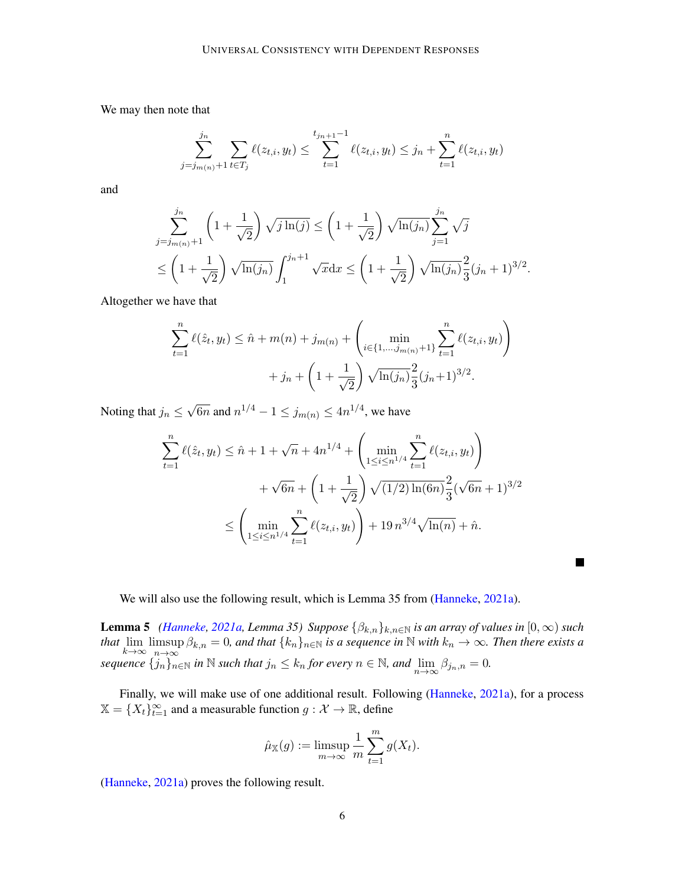We may then note that

$$
\sum_{j=j_{m(n)}+1}^{j_n} \sum_{t \in T_j} \ell(z_{t,i}, y_t) \le \sum_{t=1}^{t_{j_n+1}-1} \ell(z_{t,i}, y_t) \le j_n + \sum_{t=1}^n \ell(z_{t,i}, y_t)
$$

and

$$
\sum_{j=j_{m(n)}+1}^{j_n} \left(1+\frac{1}{\sqrt{2}}\right) \sqrt{j \ln(j)} \le \left(1+\frac{1}{\sqrt{2}}\right) \sqrt{\ln(j_n)} \sum_{j=1}^{j_n} \sqrt{j}
$$
  

$$
\le \left(1+\frac{1}{\sqrt{2}}\right) \sqrt{\ln(j_n)} \int_1^{j_n+1} \sqrt{x} dx \le \left(1+\frac{1}{\sqrt{2}}\right) \sqrt{\ln(j_n)} \frac{2}{3} (j_n+1)^{3/2}.
$$

Altogether we have that

$$
\sum_{t=1}^{n} \ell(\hat{z}_t, y_t) \le \hat{n} + m(n) + j_{m(n)} + \left( \min_{i \in \{1, \dots, j_{m(n)} + 1\}} \sum_{t=1}^{n} \ell(z_{t,i}, y_t) \right) + j_n + \left( 1 + \frac{1}{\sqrt{2}} \right) \sqrt{\ln(j_n)} \frac{2}{3} (j_n + 1)^{3/2}.
$$

Noting that  $j_n \leq$ √  $\overline{6n}$  and  $n^{1/4} - 1 \le j_{m(n)} \le 4n^{1/4}$ , we have

$$
\sum_{t=1}^{n} \ell(\hat{z}_t, y_t) \le \hat{n} + 1 + \sqrt{n} + 4n^{1/4} + \left(\min_{1 \le i \le n^{1/4}} \sum_{t=1}^{n} \ell(z_{t,i}, y_t)\right) + \sqrt{6n} + \left(1 + \frac{1}{\sqrt{2}}\right) \sqrt{(1/2)\ln(6n)} \frac{2}{3} (\sqrt{6n} + 1)^{3/2}
$$

$$
\le \left(\min_{1 \le i \le n^{1/4}} \sum_{t=1}^{n} \ell(z_{t,i}, y_t)\right) + 19 n^{3/4} \sqrt{\ln(n)} + \hat{n}.
$$

 $\blacksquare$ 

We will also use the following result, which is Lemma 35 from [\(Hanneke,](#page-8-5) [2021a\)](#page-8-5).

<span id="page-5-1"></span>**Lemma 5** *[\(Hanneke,](#page-8-5) [2021a,](#page-8-5) Lemma 35) Suppose*  $\{\beta_{k,n}\}_{k,n\in\mathbb{N}}$  *is an array of values in*  $[0,\infty)$  *such that*  $\lim_{k \to \infty} \limsup_{n \to \infty}$  $\limsup_{n\to\infty} \beta_{k,n} = 0$ , and that  $\{k_n\}_{n\in\mathbb{N}}$  *is a sequence in*  $\mathbb N$  *with*  $k_n \to \infty$ *. Then there exists a sequence*  ${j_n}_{n \in \mathbb{N}}$  *in*  $\mathbb N$  *such that*  $j_n \leq k_n$  *for every*  $n \in \mathbb{N}$ *, and*  $\lim_{n \to \infty} \beta_{j_n,n} = 0$ *.* 

Finally, we will make use of one additional result. Following [\(Hanneke,](#page-8-5) [2021a\)](#page-8-5), for a process  $\mathbb{X} = \{X_t\}_{t=1}^{\infty}$  and a measurable function  $g: \mathcal{X} \to \mathbb{R}$ , define

$$
\hat{\mu}_X(g) := \limsup_{m \to \infty} \frac{1}{m} \sum_{t=1}^m g(X_t).
$$

<span id="page-5-0"></span>[\(Hanneke,](#page-8-5) [2021a\)](#page-8-5) proves the following result.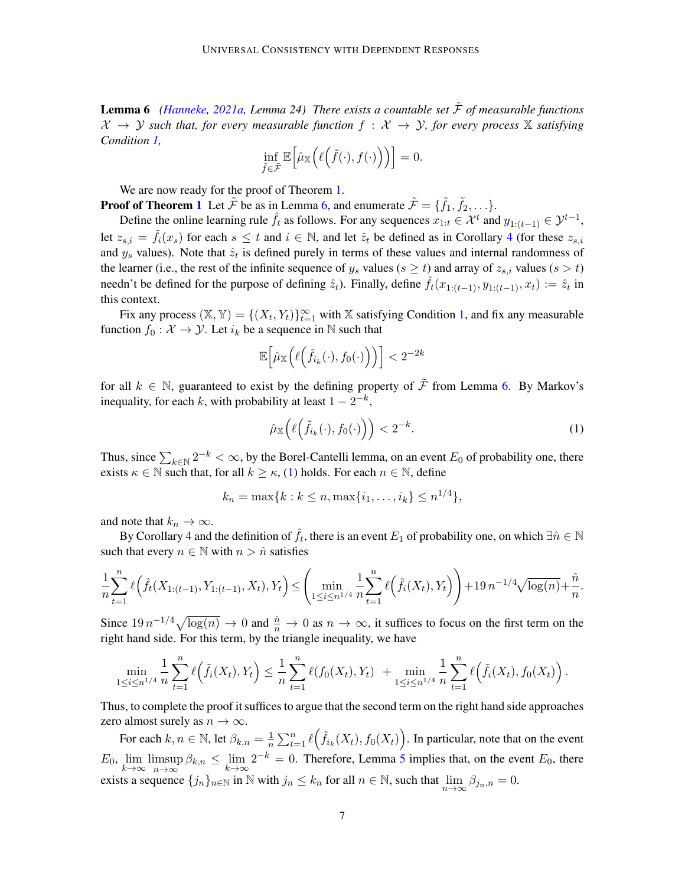**Lemma 6** *[\(Hanneke,](#page-8-5) [2021a,](#page-8-5) Lemma 24) There exists a countable set*  $\tilde{\mathcal{F}}$  *of measurable functions*  $X \to Y$  *such that, for every measurable function*  $f : X \to Y$ *, for every process* X *satisfying Condition [1,](#page-2-0)*

$$
\inf_{\tilde{f}\in\tilde{\mathcal{F}}}\mathbb{E}\Big[\hat{\mu}_{\mathbb{X}}\Big(\ell\Big(\tilde{f}(\cdot),f(\cdot)\Big)\Big)\Big]=0.
$$

We are now ready for the proof of Theorem [1.](#page-2-1)

**Proof of Theorem [1](#page-2-1)** Let  $\tilde{\mathcal{F}}$  be as in Lemma [6,](#page-5-0) and enumerate  $\tilde{\mathcal{F}} = {\tilde{f}_1, \tilde{f}_2, \ldots}.$ 

Define the online learning rule  $\hat{f}_t$  as follows. For any sequences  $x_{1:t} \in \mathcal{X}^t$  and  $y_{1:(t-1)} \in \mathcal{Y}^{t-1}$ , let  $z_{s,i} = \tilde{f}_i(x_s)$  for each  $s \leq t$  and  $i \in \mathbb{N}$ , and let  $\hat{z}_t$  be defined as in Corollary [4](#page-4-0) (for these  $z_{s,i}$ and  $y_s$  values). Note that  $\hat{z}_t$  is defined purely in terms of these values and internal randomness of the learner (i.e., the rest of the infinite sequence of  $y_s$  values ( $s \ge t$ ) and array of  $z_{s,i}$  values ( $s > t$ ) needn't be defined for the purpose of defining  $\hat{z}_t$ ). Finally, define  $\hat{f}_t(x_{1:(t-1)}, y_{1:(t-1)}, x_t) := \hat{z}_t$  in this context.

Fix any process  $(\mathbb{X}, \mathbb{Y}) = \{(X_t, Y_t)\}_{t=1}^{\infty}$  with  $\mathbb{X}$  satisfying Condition [1,](#page-2-0) and fix any measurable function  $f_0 : \mathcal{X} \to \mathcal{Y}$ . Let  $i_k$  be a sequence in N such that

$$
\mathbb{E}\Big[\hat{\mu}_\mathbb{X}\Big(\ell\Big(\tilde{f}_{i_k}(\cdot),f_0(\cdot)\Big)\Big)\Big] < 2^{-2k}
$$

for all  $k \in \mathbb{N}$ , guaranteed to exist by the defining property of  $\tilde{\mathcal{F}}$  from Lemma [6.](#page-5-0) By Markov's inequality, for each k, with probability at least  $1 - 2^{-k}$ ,

<span id="page-6-0"></span>
$$
\hat{\mu}_{\mathbb{X}}\left(\ell\left(\tilde{f}_{i_k}(\cdot), f_0(\cdot)\right)\right) < 2^{-k}.\tag{1}
$$

Thus, since  $\sum_{k\in\mathbb{N}} 2^{-k} < \infty$ , by the Borel-Cantelli lemma, on an event  $E_0$  of probability one, there exists  $\kappa \in \mathbb{N}$  such that, for all  $k \geq \kappa$ , [\(1\)](#page-6-0) holds. For each  $n \in \mathbb{N}$ , define

$$
k_n = \max\{k : k \le n, \max\{i_1, \ldots, i_k\} \le n^{1/4}\},\
$$

and note that  $k_n \to \infty$ .

By Corollary [4](#page-4-0) and the definition of  $\hat{f}_t$ , there is an event  $E_1$  of probability one, on which  $\exists \hat{n} \in \mathbb{N}$ such that every  $n \in \mathbb{N}$  with  $n > \hat{n}$  satisfies

$$
\frac{1}{n}\sum_{t=1}^{n} \ell\left(\hat{f}_{t}(X_{1:(t-1)}, Y_{1:(t-1)}, X_t), Y_t\right) \leq \left(\min_{1 \leq i \leq n^{1/4}} \frac{1}{n}\sum_{t=1}^{n} \ell\left(\tilde{f}_{i}(X_t), Y_t\right)\right) + 19 n^{-1/4} \sqrt{\log(n)} + \frac{\hat{n}}{n}.
$$

Since  $19n^{-1/4}\sqrt{\log(n)} \to 0$  and  $\frac{\hat{n}}{n} \to 0$  as  $n \to \infty$ , it suffices to focus on the first term on the right hand side. For this term, by the triangle inequality, we have

$$
\min_{1 \leq i \leq n^{1/4}} \frac{1}{n} \sum_{t=1}^{n} \ell(\tilde{f}_i(X_t), Y_t) \leq \frac{1}{n} \sum_{t=1}^{n} \ell(f_0(X_t), Y_t) + \min_{1 \leq i \leq n^{1/4}} \frac{1}{n} \sum_{t=1}^{n} \ell(\tilde{f}_i(X_t), f_0(X_t)).
$$

Thus, to complete the proof it suffices to argue that the second term on the right hand side approaches zero almost surely as  $n \to \infty$ .

For each  $k, n \in \mathbb{N}$ , let  $\beta_{k,n} = \frac{1}{n}$  $\frac{1}{n} \sum_{t=1}^{n} \ell(\tilde{f}_{i_k}(X_t), f_0(X_t))$ . In particular, note that on the event  $E_0$ ,  $\lim_{k \to \infty} \limsup_{n \to \infty}$  $\limsup_{n\to\infty} \beta_{k,n} \leq \lim_{k\to\infty} 2^{-k} = 0$ . Therefore, Lemma [5](#page-5-1) implies that, on the event  $E_0$ , there exists a sequence  $\{j_n\}_{n\in\mathbb{N}}$  in  $\mathbb N$  with  $j_n \leq k_n$  for all  $n \in \mathbb{N}$ , such that  $\lim_{n\to\infty}\beta_{j_n,n}=0$ .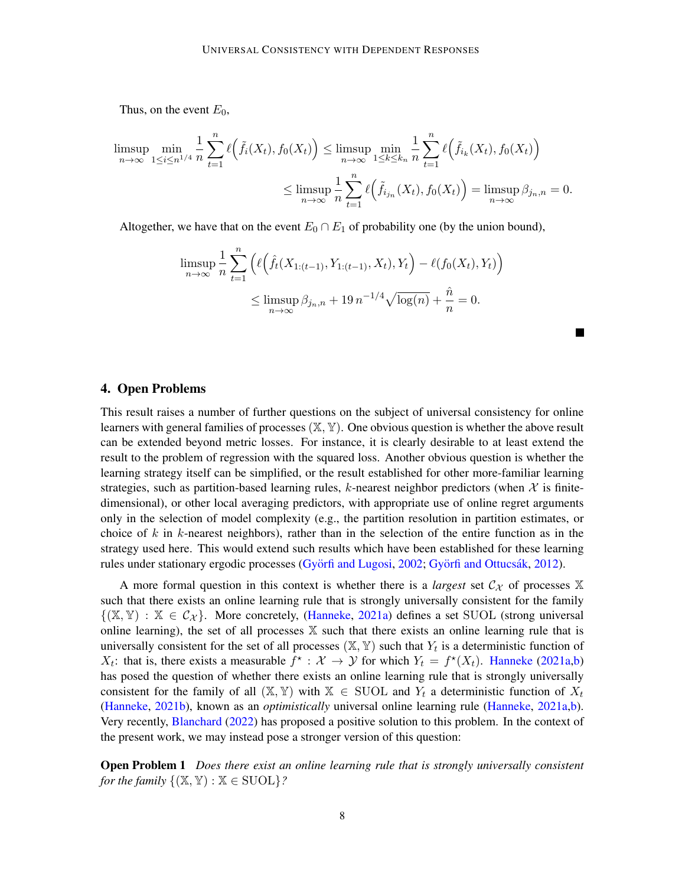Thus, on the event  $E_0$ ,

$$
\limsup_{n \to \infty} \min_{1 \le i \le n^{1/4}} \frac{1}{n} \sum_{t=1}^n \ell\Big(\tilde{f}_i(X_t), f_0(X_t)\Big) \le \limsup_{n \to \infty} \min_{1 \le k \le k_n} \frac{1}{n} \sum_{t=1}^n \ell\Big(\tilde{f}_{i_k}(X_t), f_0(X_t)\Big)
$$

$$
\le \limsup_{n \to \infty} \frac{1}{n} \sum_{t=1}^n \ell\Big(\tilde{f}_{i_{j_n}}(X_t), f_0(X_t)\Big) = \limsup_{n \to \infty} \beta_{j_n, n} = 0.
$$

Altogether, we have that on the event  $E_0 \cap E_1$  of probability one (by the union bound),

$$
\limsup_{n \to \infty} \frac{1}{n} \sum_{t=1}^{n} \left( \ell \left( \hat{f}_t(X_{1:(t-1)}, Y_{1:(t-1)}, X_t), Y_t \right) - \ell(f_0(X_t), Y_t) \right)
$$
  

$$
\leq \limsup_{n \to \infty} \beta_{j_n, n} + 19 n^{-1/4} \sqrt{\log(n)} + \frac{\hat{n}}{n} = 0.
$$

## 4. Open Problems

This result raises a number of further questions on the subject of universal consistency for online learners with general families of processes  $(X, Y)$ . One obvious question is whether the above result can be extended beyond metric losses. For instance, it is clearly desirable to at least extend the result to the problem of regression with the squared loss. Another obvious question is whether the learning strategy itself can be simplified, or the result established for other more-familiar learning strategies, such as partition-based learning rules, k-nearest neighbor predictors (when  $X$  is finitedimensional), or other local averaging predictors, with appropriate use of online regret arguments only in the selection of model complexity (e.g., the partition resolution in partition estimates, or choice of k in k-nearest neighbors), rather than in the selection of the entire function as in the strategy used here. This would extend such results which have been established for these learning rules under stationary ergodic processes (Györfi and Lugosi, [2002;](#page-8-10) Györfi and Ottucs ák, [2012\)](#page-8-11).

A more formal question in this context is whether there is a *largest* set  $\mathcal{C}_{\mathcal{X}}$  of processes  $\mathbb{X}$ such that there exists an online learning rule that is strongly universally consistent for the family  $\{(\mathbb{X}, \mathbb{Y}) : \mathbb{X} \in C_{\mathcal{X}}\}.$  More concretely, [\(Hanneke,](#page-8-5) [2021a\)](#page-8-5) defines a set SUOL (strong universal online learning), the set of all processes  $X$  such that there exists an online learning rule that is universally consistent for the set of all processes  $(\mathbb{X}, \mathbb{Y})$  such that  $Y_t$  is a deterministic function of  $X_t$ : that is, there exists a measurable  $f^*$ :  $\mathcal{X} \to \mathcal{Y}$  for which  $Y_t = f^*(X_t)$ . [Hanneke](#page-8-5) [\(2021a](#page-8-5)[,b\)](#page-8-6) has posed the question of whether there exists an online learning rule that is strongly universally consistent for the family of all  $(X, Y)$  with  $X \in SUOL$  and  $Y_t$  a deterministic function of  $X_t$ [\(Hanneke,](#page-8-6) [2021b\)](#page-8-6), known as an *optimistically* universal online learning rule [\(Hanneke,](#page-8-5) [2021a](#page-8-5)[,b\)](#page-8-6). Very recently, [Blanchard](#page-8-12) [\(2022\)](#page-8-12) has proposed a positive solution to this problem. In the context of the present work, we may instead pose a stronger version of this question:

Open Problem 1 *Does there exist an online learning rule that is strongly universally consistent for the family*  $\{(\mathbb{X}, \mathbb{Y}) : \mathbb{X} \in \text{SUOL}\}$ ?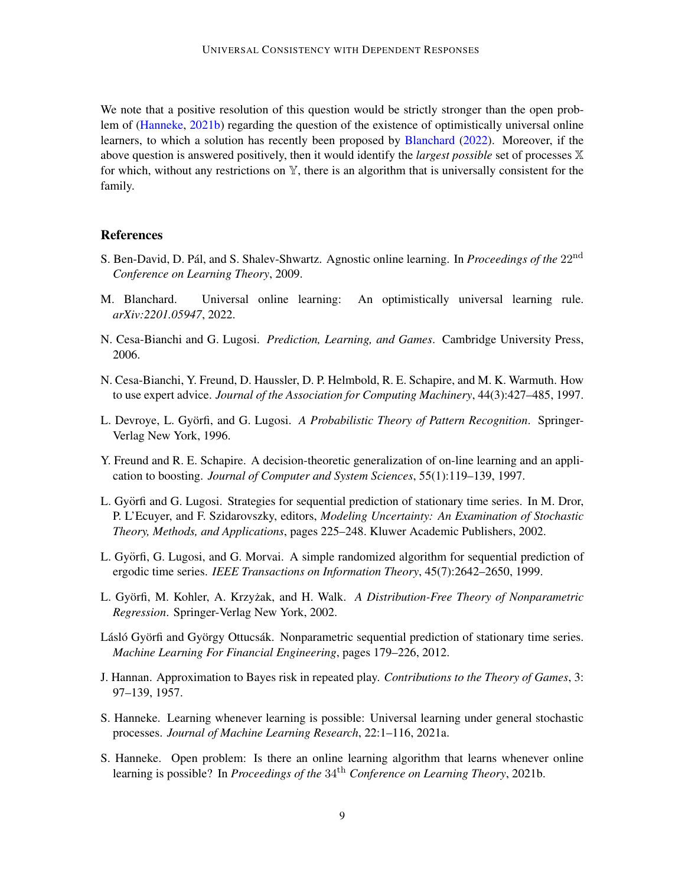We note that a positive resolution of this question would be strictly stronger than the open problem of [\(Hanneke,](#page-8-6) [2021b\)](#page-8-6) regarding the question of the existence of optimistically universal online learners, to which a solution has recently been proposed by [Blanchard](#page-8-12) [\(2022\)](#page-8-12). Moreover, if the above question is answered positively, then it would identify the *largest possible* set of processes X for which, without any restrictions on  $\mathbb{Y}$ , there is an algorithm that is universally consistent for the family.

#### References

- <span id="page-8-1"></span>S. Ben-David, D. Pál, and S. Shalev-Shwartz. Agnostic online learning. In *Proceedings of the* 22<sup>nd</sup> *Conference on Learning Theory*, 2009.
- <span id="page-8-12"></span>M. Blanchard. Universal online learning: An optimistically universal learning rule. *arXiv:2201.05947*, 2022.
- <span id="page-8-0"></span>N. Cesa-Bianchi and G. Lugosi. *Prediction, Learning, and Games*. Cambridge University Press, 2006.
- <span id="page-8-9"></span>N. Cesa-Bianchi, Y. Freund, D. Haussler, D. P. Helmbold, R. E. Schapire, and M. K. Warmuth. How to use expert advice. *Journal of the Association for Computing Machinery*, 44(3):427–485, 1997.
- <span id="page-8-2"></span>L. Devroye, L. Györfi, and G. Lugosi. A Probabilistic Theory of Pattern Recognition. Springer-Verlag New York, 1996.
- <span id="page-8-8"></span>Y. Freund and R. E. Schapire. A decision-theoretic generalization of on-line learning and an application to boosting. *Journal of Computer and System Sciences*, 55(1):119–139, 1997.
- <span id="page-8-10"></span>L. Györfi and G. Lugosi. Strategies for sequential prediction of stationary time series. In M. Dror, P. L'Ecuyer, and F. Szidarovszky, editors, *Modeling Uncertainty: An Examination of Stochastic Theory, Methods, and Applications*, pages 225–248. Kluwer Academic Publishers, 2002.
- <span id="page-8-4"></span>L. Györfi, G. Lugosi, and G. Morvai. A simple randomized algorithm for sequential prediction of ergodic time series. *IEEE Transactions on Information Theory*, 45(7):2642–2650, 1999.
- <span id="page-8-3"></span>L. Györfi, M. Kohler, A. Krzyżak, and H. Walk. *A Distribution-Free Theory of Nonparametric Regression*. Springer-Verlag New York, 2002.
- <span id="page-8-11"></span>Lásló Györfi and György Ottucsák. Nonparametric sequential prediction of stationary time series. *Machine Learning For Financial Engineering*, pages 179–226, 2012.
- <span id="page-8-7"></span>J. Hannan. Approximation to Bayes risk in repeated play. *Contributions to the Theory of Games*, 3: 97–139, 1957.
- <span id="page-8-5"></span>S. Hanneke. Learning whenever learning is possible: Universal learning under general stochastic processes. *Journal of Machine Learning Research*, 22:1–116, 2021a.
- <span id="page-8-6"></span>S. Hanneke. Open problem: Is there an online learning algorithm that learns whenever online learning is possible? In *Proceedings of the* 34th *Conference on Learning Theory*, 2021b.